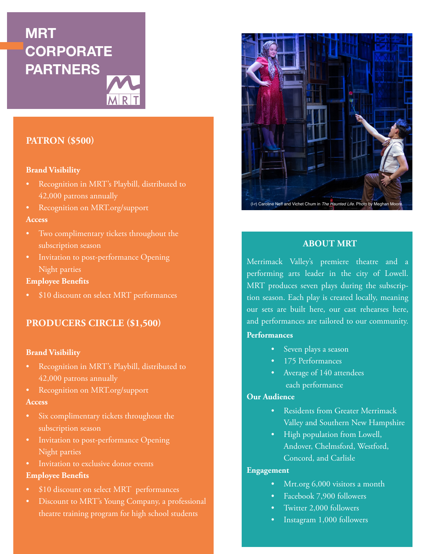# **MRT CORPORATE PARTNERS**



## **PATRON (\$500)**

## **Brand Visibility**

- Recognition in MRT's Playbill, distributed to 42,000 patrons annually
- Recognition on MRT.org/support

## **Access**

- Two complimentary tickets throughout the subscription season
- Invitation to post-performance Opening Night parties

#### **Employee Benefits**

• \$10 discount on select MRT performances

## **PRODUCERS CIRCLE (\$1,500)**

#### **Brand Visibility**

- Recognition in MRT's Playbill, distributed to 42,000 patrons annually
- Recognition on MRT.org/support

#### **Access**

- Six complimentary tickets throughout the subscription season
- Invitation to post-performance Opening Night parties
- Invitation to exclusive donor events

## **Employee Benefits**

- \$10 discount on select MRT performances
- Discount to MRT's Young Company, a professional theatre training program for high school students



## **ABOUT MRT**

Merrimack Valley's premiere theatre and a performing arts leader in the city of Lowell. MRT produces seven plays during the subscription season. Each play is created locally, meaning our sets are built here, our cast rehearses here, and performances are tailored to our community.

#### **Performances**

- Seven plays a season
- 175 Performances
- Average of 140 attendees each performance

## **Our Audience**

- Residents from Greater Merrimack Valley and Southern New Hampshire
- High population from Lowell, Andover, Chelmsford, Westford, Concord, and Carlisle

## **Engagement**

- Mrt.org 6,000 visitors a month
- Facebook 7,900 followers
- Twitter 2,000 followers
- Instagram 1,000 followers